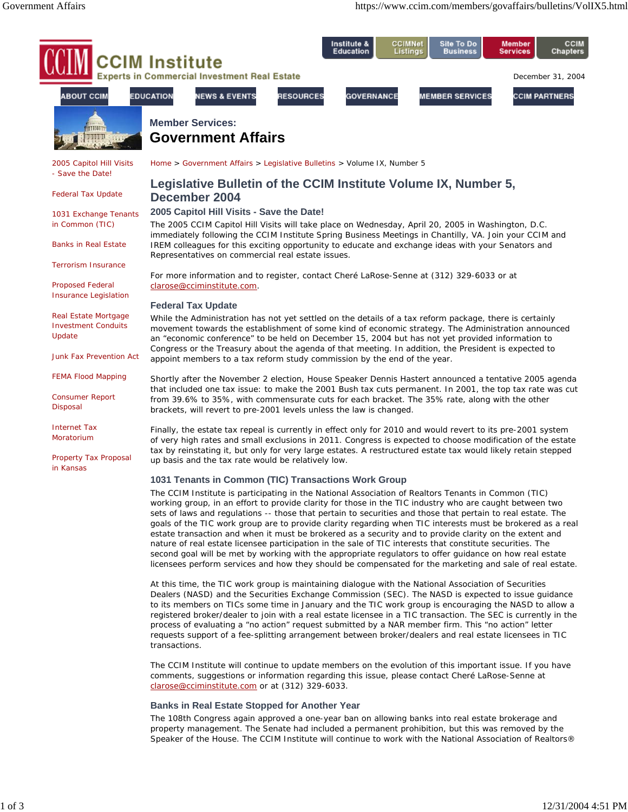

The CCIM Institute is participating in the National Association of Realtors Tenants in Common (TIC) working group, in an effort to provide clarity for those in the TIC industry who are caught between two sets of laws and regulations -- those that pertain to securities and those that pertain to real estate. The goals of the TIC work group are to provide clarity regarding when TIC interests must be brokered as a real estate transaction and when it must be brokered as a security and to provide clarity on the extent and nature of real estate licensee participation in the sale of TIC interests that constitute securities. The second goal will be met by working with the appropriate regulators to offer guidance on how real estate licensees perform services and how they should be compensated for the marketing and sale of real estate.

At this time, the TIC work group is maintaining dialogue with the National Association of Securities Dealers (NASD) and the Securities Exchange Commission (SEC). The NASD is expected to issue guidance to its members on TICs some time in January and the TIC work group is encouraging the NASD to allow a registered broker/dealer to join with a real estate licensee in a TIC transaction. The SEC is currently in the process of evaluating a "no action" request submitted by a NAR member firm. This "no action" letter requests support of a fee-splitting arrangement between broker/dealers and real estate licensees in TIC transactions.

The CCIM Institute will continue to update members on the evolution of this important issue. If you have comments, suggestions or information regarding this issue, please contact Cheré LaRose-Senne at clarose@cciminstitute.com or at (312) 329-6033.

# **Banks in Real Estate Stopped for Another Year**

The 108th Congress again approved a one-year ban on allowing banks into real estate brokerage and property management. The Senate had included a permanent prohibition, but this was removed by the Speaker of the House. The CCIM Institute will continue to work with the National Association of Realtors®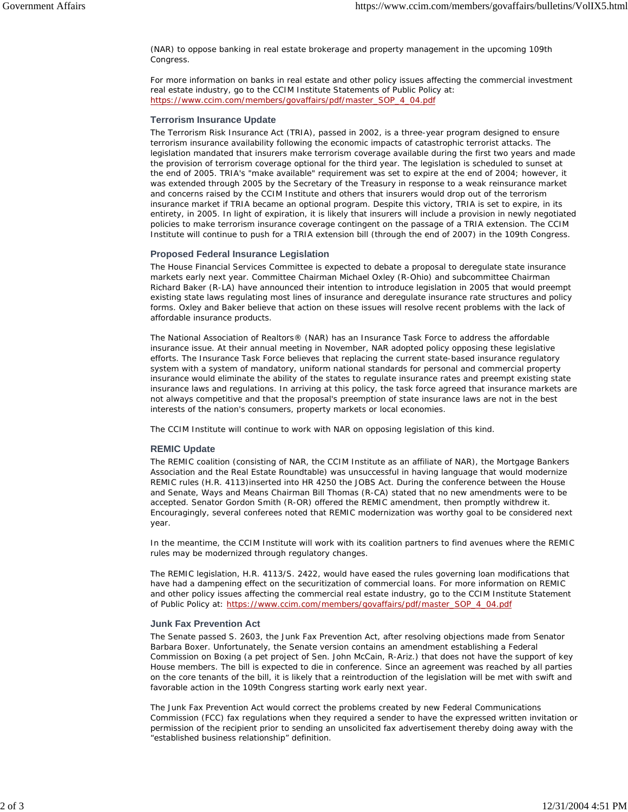(NAR) to oppose banking in real estate brokerage and property management in the upcoming 109th Congress.

For more information on banks in real estate and other policy issues affecting the commercial investment real estate industry, go to the CCIM Institute Statements of Public Policy at: https://www.ccim.com/members/govaffairs/pdf/master\_SOP\_4\_04.pdf

### **Terrorism Insurance Update**

The Terrorism Risk Insurance Act (TRIA), passed in 2002, is a three-year program designed to ensure terrorism insurance availability following the economic impacts of catastrophic terrorist attacks. The legislation mandated that insurers make terrorism coverage available during the first two years and made the provision of terrorism coverage optional for the third year. The legislation is scheduled to sunset at the end of 2005. TRIA's "make available" requirement was set to expire at the end of 2004; however, it was extended through 2005 by the Secretary of the Treasury in response to a weak reinsurance market and concerns raised by the CCIM Institute and others that insurers would drop out of the terrorism insurance market if TRIA became an optional program. Despite this victory, TRIA is set to expire, in its entirety, in 2005. In light of expiration, it is likely that insurers will include a provision in newly negotiated policies to make terrorism insurance coverage contingent on the passage of a TRIA extension. The CCIM Institute will continue to push for a TRIA extension bill (through the end of 2007) in the 109th Congress.

# **Proposed Federal Insurance Legislation**

The House Financial Services Committee is expected to debate a proposal to deregulate state insurance markets early next year. Committee Chairman Michael Oxley (R-Ohio) and subcommittee Chairman Richard Baker (R-LA) have announced their intention to introduce legislation in 2005 that would preempt existing state laws regulating most lines of insurance and deregulate insurance rate structures and policy forms. Oxley and Baker believe that action on these issues will resolve recent problems with the lack of affordable insurance products.

The National Association of Realtors® (NAR) has an Insurance Task Force to address the affordable insurance issue. At their annual meeting in November, NAR adopted policy opposing these legislative efforts. The Insurance Task Force believes that replacing the current state-based insurance regulatory system with a system of mandatory, uniform national standards for personal and commercial property insurance would eliminate the ability of the states to regulate insurance rates and preempt existing state insurance laws and regulations. In arriving at this policy, the task force agreed that insurance markets are not always competitive and that the proposal's preemption of state insurance laws are not in the best interests of the nation's consumers, property markets or local economies.

The CCIM Institute will continue to work with NAR on opposing legislation of this kind.

# **REMIC Update**

The REMIC coalition (consisting of NAR, the CCIM Institute as an affiliate of NAR), the Mortgage Bankers Association and the Real Estate Roundtable) was unsuccessful in having language that would modernize REMIC rules (H.R. 4113)inserted into HR 4250 the JOBS Act. During the conference between the House and Senate, Ways and Means Chairman Bill Thomas (R-CA) stated that no new amendments were to be accepted. Senator Gordon Smith (R-OR) offered the REMIC amendment, then promptly withdrew it. Encouragingly, several conferees noted that REMIC modernization was worthy goal to be considered next year.

In the meantime, the CCIM Institute will work with its coalition partners to find avenues where the REMIC rules may be modernized through regulatory changes.

The REMIC legislation, H.R. 4113/S. 2422, would have eased the rules governing loan modifications that have had a dampening effect on the securitization of commercial loans. For more information on REMIC and other policy issues affecting the commercial real estate industry, go to the CCIM Institute Statement of Public Policy at: https://www.ccim.com/members/govaffairs/pdf/master\_SOP\_4\_04.pdf

### **Junk Fax Prevention Act**

The Senate passed S. 2603, the Junk Fax Prevention Act, after resolving objections made from Senator Barbara Boxer. Unfortunately, the Senate version contains an amendment establishing a Federal Commission on Boxing (a pet project of Sen. John McCain, R-Ariz.) that does not have the support of key House members. The bill is expected to die in conference. Since an agreement was reached by all parties on the core tenants of the bill, it is likely that a reintroduction of the legislation will be met with swift and favorable action in the 109th Congress starting work early next year.

The Junk Fax Prevention Act would correct the problems created by new Federal Communications Commission (FCC) fax regulations when they required a sender to have the expressed written invitation or permission of the recipient prior to sending an unsolicited fax advertisement thereby doing away with the "established business relationship" definition.